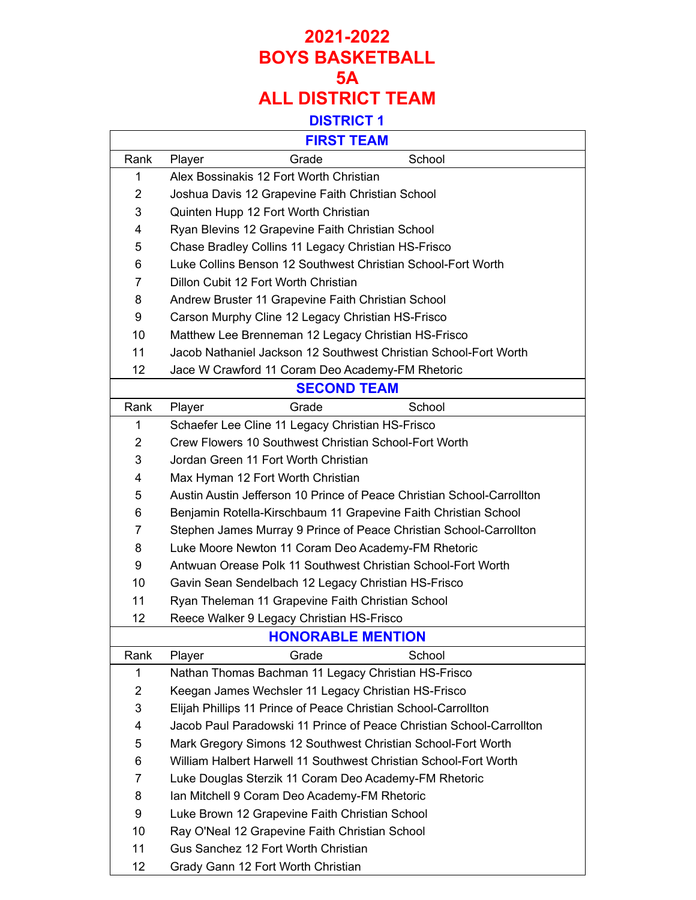|                | <b>FIRST TEAM</b>                                                      |
|----------------|------------------------------------------------------------------------|
| Rank           | School<br>Grade<br>Player                                              |
| 1              | Alex Bossinakis 12 Fort Worth Christian                                |
| $\overline{2}$ | Joshua Davis 12 Grapevine Faith Christian School                       |
| 3              | Quinten Hupp 12 Fort Worth Christian                                   |
| 4              | Ryan Blevins 12 Grapevine Faith Christian School                       |
| 5              | Chase Bradley Collins 11 Legacy Christian HS-Frisco                    |
| 6              | Luke Collins Benson 12 Southwest Christian School-Fort Worth           |
| 7              | Dillon Cubit 12 Fort Worth Christian                                   |
| 8              | Andrew Bruster 11 Grapevine Faith Christian School                     |
| 9              | Carson Murphy Cline 12 Legacy Christian HS-Frisco                      |
| 10             | Matthew Lee Brenneman 12 Legacy Christian HS-Frisco                    |
| 11             | Jacob Nathaniel Jackson 12 Southwest Christian School-Fort Worth       |
| 12             | Jace W Crawford 11 Coram Deo Academy-FM Rhetoric                       |
|                | <b>SECOND TEAM</b>                                                     |
| Rank           | Player<br>School<br>Grade                                              |
| 1              | Schaefer Lee Cline 11 Legacy Christian HS-Frisco                       |
| $\overline{2}$ | Crew Flowers 10 Southwest Christian School-Fort Worth                  |
| 3              | Jordan Green 11 Fort Worth Christian                                   |
| 4              | Max Hyman 12 Fort Worth Christian                                      |
| 5              | Austin Austin Jefferson 10 Prince of Peace Christian School-Carrollton |
| 6              | Benjamin Rotella-Kirschbaum 11 Grapevine Faith Christian School        |
| 7              | Stephen James Murray 9 Prince of Peace Christian School-Carrollton     |
| 8              | Luke Moore Newton 11 Coram Deo Academy-FM Rhetoric                     |
| 9              | Antwuan Orease Polk 11 Southwest Christian School-Fort Worth           |
| 10             | Gavin Sean Sendelbach 12 Legacy Christian HS-Frisco                    |
| 11             | Ryan Theleman 11 Grapevine Faith Christian School                      |
| 12             | Reece Walker 9 Legacy Christian HS-Frisco                              |
|                | <b>HONORABLE MENTION</b>                                               |
| Rank           | Grade<br>School<br>Player                                              |
| 1              | Nathan Thomas Bachman 11 Legacy Christian HS-Frisco                    |
| 2              | Keegan James Wechsler 11 Legacy Christian HS-Frisco                    |
| 3              | Elijah Phillips 11 Prince of Peace Christian School-Carrollton         |
| 4              | Jacob Paul Paradowski 11 Prince of Peace Christian School-Carrollton   |
| 5              | Mark Gregory Simons 12 Southwest Christian School-Fort Worth           |
| 6              | William Halbert Harwell 11 Southwest Christian School-Fort Worth       |
| 7              | Luke Douglas Sterzik 11 Coram Deo Academy-FM Rhetoric                  |
| 8              | Ian Mitchell 9 Coram Deo Academy-FM Rhetoric                           |
| 9              | Luke Brown 12 Grapevine Faith Christian School                         |
| 10             | Ray O'Neal 12 Grapevine Faith Christian School                         |
| 11             | Gus Sanchez 12 Fort Worth Christian                                    |
| 12             | Grady Gann 12 Fort Worth Christian                                     |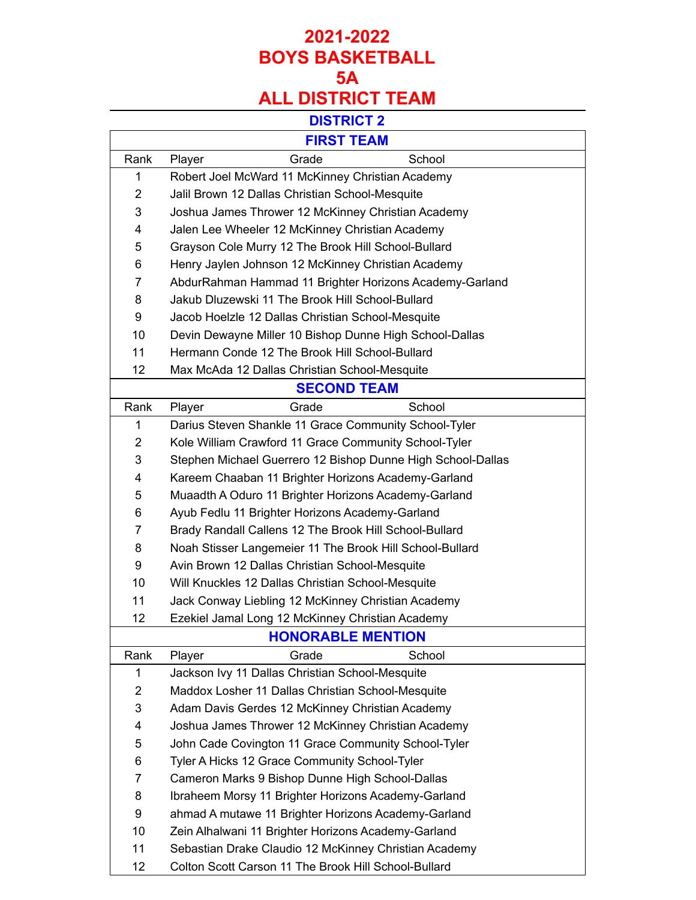#### **DISTRICT 2**

|                | <b>FIRST TEAM</b>                                           |
|----------------|-------------------------------------------------------------|
| Rank           | Grade<br>School<br>Player                                   |
| 1              | Robert Joel McWard 11 McKinney Christian Academy            |
| $\overline{2}$ | Jalil Brown 12 Dallas Christian School-Mesquite             |
| 3              | Joshua James Thrower 12 McKinney Christian Academy          |
| 4              | Jalen Lee Wheeler 12 McKinney Christian Academy             |
| 5              | Grayson Cole Murry 12 The Brook Hill School-Bullard         |
| 6              | Henry Jaylen Johnson 12 McKinney Christian Academy          |
| $\overline{7}$ | AbdurRahman Hammad 11 Brighter Horizons Academy-Garland     |
| 8              | Jakub Dluzewski 11 The Brook Hill School-Bullard            |
| 9              | Jacob Hoelzle 12 Dallas Christian School-Mesquite           |
| 10             | Devin Dewayne Miller 10 Bishop Dunne High School-Dallas     |
| 11             | Hermann Conde 12 The Brook Hill School-Bullard              |
| 12             | Max McAda 12 Dallas Christian School-Mesquite               |
|                | <b>SECOND TEAM</b>                                          |
| Rank           | School<br>Grade<br>Player                                   |
| 1              | Darius Steven Shankle 11 Grace Community School-Tyler       |
| $\overline{2}$ | Kole William Crawford 11 Grace Community School-Tyler       |
| 3              | Stephen Michael Guerrero 12 Bishop Dunne High School-Dallas |
| 4              | Kareem Chaaban 11 Brighter Horizons Academy-Garland         |
| 5              | Muaadth A Oduro 11 Brighter Horizons Academy-Garland        |
| 6              | Ayub Fedlu 11 Brighter Horizons Academy-Garland             |
| 7              | Brady Randall Callens 12 The Brook Hill School-Bullard      |
| 8              | Noah Stisser Langemeier 11 The Brook Hill School-Bullard    |
| 9              | Avin Brown 12 Dallas Christian School-Mesquite              |
| 10             | Will Knuckles 12 Dallas Christian School-Mesquite           |
| 11             | Jack Conway Liebling 12 McKinney Christian Academy          |
| 12             | Ezekiel Jamal Long 12 McKinney Christian Academy            |
|                | <b>HONORABLE MENTION</b>                                    |
| Rank           | Player<br>Grade<br>School                                   |
| 1              | Jackson Ivy 11 Dallas Christian School-Mesquite             |
| $\overline{2}$ | Maddox Losher 11 Dallas Christian School-Mesquite           |
| 3              | Adam Davis Gerdes 12 McKinney Christian Academy             |
| 4              | Joshua James Thrower 12 McKinney Christian Academy          |
| 5              | John Cade Covington 11 Grace Community School-Tyler         |
| 6              | Tyler A Hicks 12 Grace Community School-Tyler               |
| 7              | Cameron Marks 9 Bishop Dunne High School-Dallas             |
| 8              | Ibraheem Morsy 11 Brighter Horizons Academy-Garland         |
| 9              | ahmad A mutawe 11 Brighter Horizons Academy-Garland         |
| 10             | Zein Alhalwani 11 Brighter Horizons Academy-Garland         |
| 11             | Sebastian Drake Claudio 12 McKinney Christian Academy       |
| 12             | Colton Scott Carson 11 The Brook Hill School-Bullard        |

Colton Scott Carson 11 The Brook Hill School-Bullard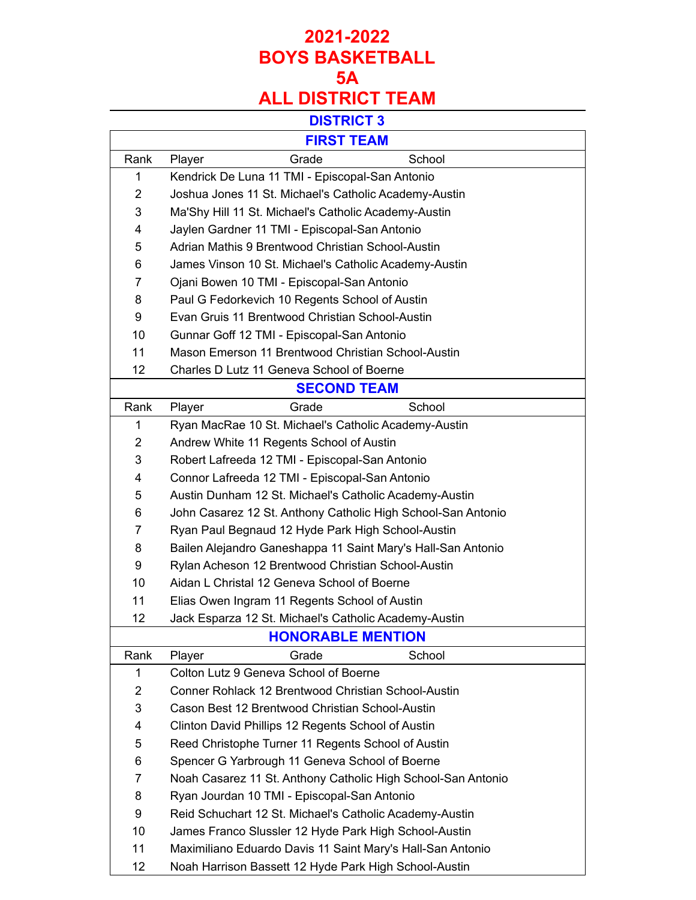#### **DISTRICT 3**

|                          | <b>FIRST TEAM</b>                                            |  |  |  |
|--------------------------|--------------------------------------------------------------|--|--|--|
| Rank                     | Grade<br>School<br>Player                                    |  |  |  |
| 1                        | Kendrick De Luna 11 TMI - Episcopal-San Antonio              |  |  |  |
| $\overline{2}$           | Joshua Jones 11 St. Michael's Catholic Academy-Austin        |  |  |  |
| 3                        | Ma'Shy Hill 11 St. Michael's Catholic Academy-Austin         |  |  |  |
| 4                        | Jaylen Gardner 11 TMI - Episcopal-San Antonio                |  |  |  |
| 5                        | Adrian Mathis 9 Brentwood Christian School-Austin            |  |  |  |
| 6                        | James Vinson 10 St. Michael's Catholic Academy-Austin        |  |  |  |
| 7                        | Ojani Bowen 10 TMI - Episcopal-San Antonio                   |  |  |  |
| 8                        | Paul G Fedorkevich 10 Regents School of Austin               |  |  |  |
| 9                        | Evan Gruis 11 Brentwood Christian School-Austin              |  |  |  |
| 10                       | Gunnar Goff 12 TMI - Episcopal-San Antonio                   |  |  |  |
| 11                       | Mason Emerson 11 Brentwood Christian School-Austin           |  |  |  |
| 12                       | Charles D Lutz 11 Geneva School of Boerne                    |  |  |  |
|                          | <b>SECOND TEAM</b>                                           |  |  |  |
| Rank                     | School<br>Grade<br>Player                                    |  |  |  |
| 1                        | Ryan MacRae 10 St. Michael's Catholic Academy-Austin         |  |  |  |
| 2                        | Andrew White 11 Regents School of Austin                     |  |  |  |
| 3                        | Robert Lafreeda 12 TMI - Episcopal-San Antonio               |  |  |  |
| 4                        | Connor Lafreeda 12 TMI - Episcopal-San Antonio               |  |  |  |
| 5                        | Austin Dunham 12 St. Michael's Catholic Academy-Austin       |  |  |  |
| 6                        | John Casarez 12 St. Anthony Catholic High School-San Antonio |  |  |  |
| 7                        | Ryan Paul Begnaud 12 Hyde Park High School-Austin            |  |  |  |
| 8                        | Bailen Alejandro Ganeshappa 11 Saint Mary's Hall-San Antonio |  |  |  |
| 9                        | Rylan Acheson 12 Brentwood Christian School-Austin           |  |  |  |
| 10                       | Aidan L Christal 12 Geneva School of Boerne                  |  |  |  |
| 11                       | Elias Owen Ingram 11 Regents School of Austin                |  |  |  |
| 12                       | Jack Esparza 12 St. Michael's Catholic Academy-Austin        |  |  |  |
| <b>HONORABLE MENTION</b> |                                                              |  |  |  |
| Rank                     | Player<br>Grade<br>School                                    |  |  |  |
| 1                        | Colton Lutz 9 Geneva School of Boerne                        |  |  |  |
| 2                        | Conner Rohlack 12 Brentwood Christian School-Austin          |  |  |  |
| 3                        | Cason Best 12 Brentwood Christian School-Austin              |  |  |  |
| 4                        | Clinton David Phillips 12 Regents School of Austin           |  |  |  |
| 5                        | Reed Christophe Turner 11 Regents School of Austin           |  |  |  |
| 6                        | Spencer G Yarbrough 11 Geneva School of Boerne               |  |  |  |
| 7                        | Noah Casarez 11 St. Anthony Catholic High School-San Antonio |  |  |  |
| 8                        | Ryan Jourdan 10 TMI - Episcopal-San Antonio                  |  |  |  |
| 9                        | Reid Schuchart 12 St. Michael's Catholic Academy-Austin      |  |  |  |
| 10                       | James Franco Slussler 12 Hyde Park High School-Austin        |  |  |  |
| 11                       | Maximiliano Eduardo Davis 11 Saint Mary's Hall-San Antonio   |  |  |  |

Noah Harrison Bassett 12 Hyde Park High School-Austin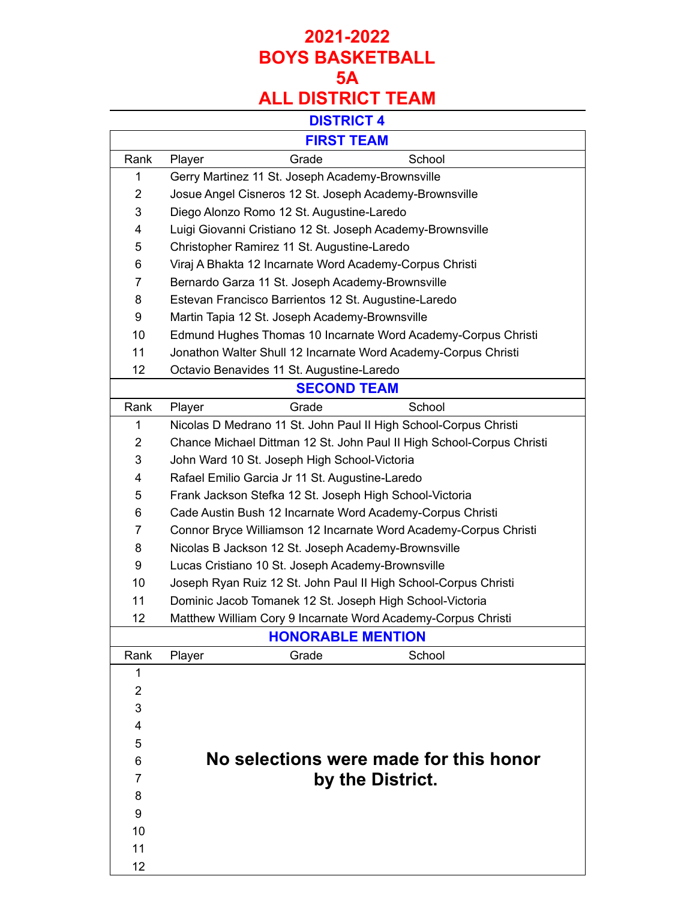## **DISTRICT 4**

|                | <b>FIRST TEAM</b>                                                     |
|----------------|-----------------------------------------------------------------------|
| Rank           | Grade<br>School<br>Player                                             |
| 1              | Gerry Martinez 11 St. Joseph Academy-Brownsville                      |
| $\overline{2}$ | Josue Angel Cisneros 12 St. Joseph Academy-Brownsville                |
| 3              | Diego Alonzo Romo 12 St. Augustine-Laredo                             |
| 4              | Luigi Giovanni Cristiano 12 St. Joseph Academy-Brownsville            |
| 5              | Christopher Ramirez 11 St. Augustine-Laredo                           |
| 6              | Viraj A Bhakta 12 Incarnate Word Academy-Corpus Christi               |
| 7              | Bernardo Garza 11 St. Joseph Academy-Brownsville                      |
| 8              | Estevan Francisco Barrientos 12 St. Augustine-Laredo                  |
| 9              | Martin Tapia 12 St. Joseph Academy-Brownsville                        |
| 10             | Edmund Hughes Thomas 10 Incarnate Word Academy-Corpus Christi         |
| 11             | Jonathon Walter Shull 12 Incarnate Word Academy-Corpus Christi        |
| 12             | Octavio Benavides 11 St. Augustine-Laredo                             |
|                | <b>SECOND TEAM</b>                                                    |
| Rank           | Grade<br>School<br>Player                                             |
| 1              | Nicolas D Medrano 11 St. John Paul II High School-Corpus Christi      |
| $\overline{2}$ | Chance Michael Dittman 12 St. John Paul II High School-Corpus Christi |
| 3              | John Ward 10 St. Joseph High School-Victoria                          |
| 4              | Rafael Emilio Garcia Jr 11 St. Augustine-Laredo                       |
| 5              | Frank Jackson Stefka 12 St. Joseph High School-Victoria               |
| 6              | Cade Austin Bush 12 Incarnate Word Academy-Corpus Christi             |
| 7              | Connor Bryce Williamson 12 Incarnate Word Academy-Corpus Christi      |
| 8              | Nicolas B Jackson 12 St. Joseph Academy-Brownsville                   |
| 9              | Lucas Cristiano 10 St. Joseph Academy-Brownsville                     |
| 10             | Joseph Ryan Ruiz 12 St. John Paul II High School-Corpus Christi       |
| 11             | Dominic Jacob Tomanek 12 St. Joseph High School-Victoria              |
| 12             | Matthew William Cory 9 Incarnate Word Academy-Corpus Christi          |
|                | <b>HONORABLE MENTION</b>                                              |
| Rank           | Player<br>School<br>Grade                                             |
| 1              |                                                                       |
| $\overline{2}$ |                                                                       |
| 3              |                                                                       |
| 4              |                                                                       |
| 5              |                                                                       |
| 6              | No selections were made for this honor                                |
| 7              | by the District.                                                      |
| 8              |                                                                       |
| 9              |                                                                       |
| 10             |                                                                       |
| 11             |                                                                       |